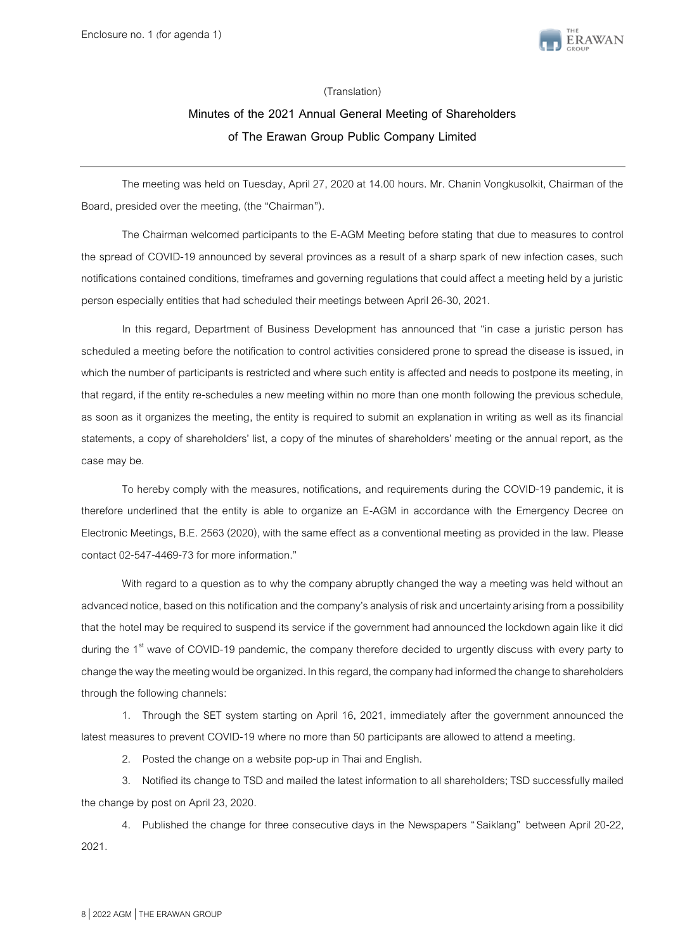

#### (Translation)

# **Minutes of the 2021 Annual General Meeting of Shareholders of The Erawan Group Public Company Limited**

The meeting was held on Tuesday, April 27, 2020 at 14.00 hours. Mr. Chanin Vongkusolkit, Chairman of the Board, presided over the meeting, (the "Chairman").

The Chairman welcomed participants to the E-AGM Meeting before stating that due to measures to control the spread of COVID-19 announced by several provinces as a result of a sharp spark of new infection cases, such notifications contained conditions, timeframes and governing regulations that could affect a meeting held by a juristic person especially entities that had scheduled their meetings between April 26-30, 2021.

In this regard, Department of Business Development has announced that "in case a juristic person has scheduled a meeting before the notification to control activities considered prone to spread the disease is issued, in which the number of participants is restricted and where such entity is affected and needs to postpone its meeting, in that regard, if the entity re-schedules a new meeting within no more than one month following the previous schedule, as soon as it organizes the meeting, the entity is required to submit an explanation in writing as well as its financial statements, a copy of shareholders' list, a copy of the minutes of shareholders' meeting or the annual report, as the case may be.

To hereby comply with the measures, notifications, and requirements during the COVID-19 pandemic, it is therefore underlined that the entity is able to organize an E-AGM in accordance with the Emergency Decree on Electronic Meetings, B.E. 2563 (2020), with the same effect as a conventional meeting as provided in the law. Please contact 02-547-4469-73 for more information."

With regard to a question as to why the company abruptly changed the way a meeting was held without an advanced notice, based on this notification and the company's analysis of risk and uncertainty arising from a possibility that the hotel may be required to suspend its service if the government had announced the lockdown again like it did during the 1<sup>st</sup> wave of COVID-19 pandemic, the company therefore decided to urgently discuss with every party to change the way the meeting would be organized. In this regard, the company had informed the change to shareholders through the following channels:

1. Through the SET system starting on April 16, 2021, immediately after the government announced the latest measures to prevent COVID-19 where no more than 50 participants are allowed to attend a meeting.

2. Posted the change on a website pop-up in Thai and English.

3. Notified its change to TSD and mailed the latest information to all shareholders; TSD successfully mailed the change by post on April 23, 2020.

4. Published the change for three consecutive days in the Newspapers "Saiklang" between April 20-22, 2021.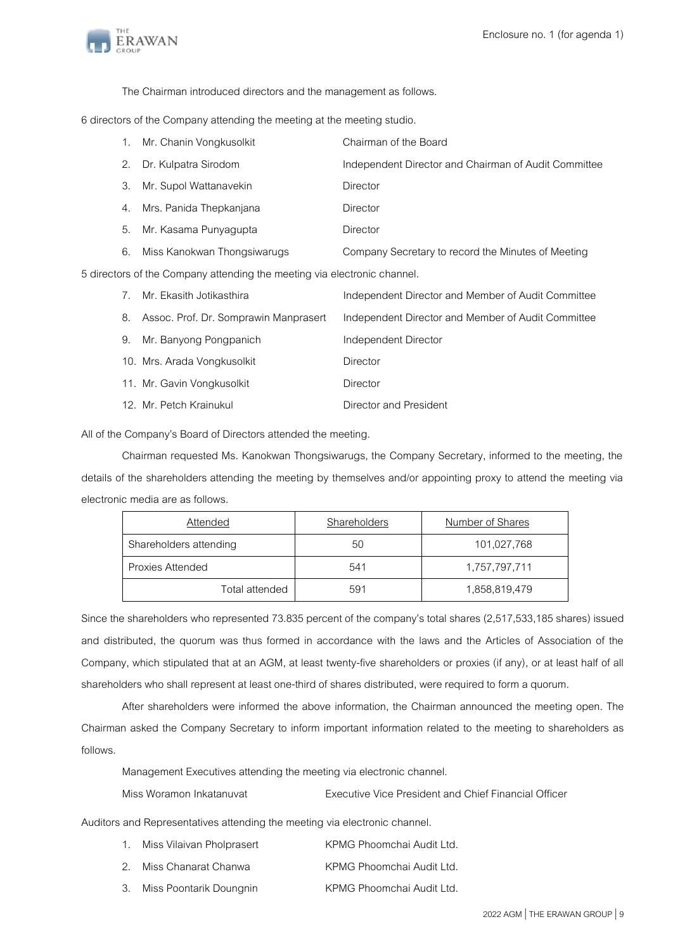

The Chairman introduced directors and the management as follows.

6 directors of the Company attending the meeting at the meeting studio.

| 1. Mr. Chanin Vongkusolkit     | Chairman of the Board                                |
|--------------------------------|------------------------------------------------------|
| 2. Dr. Kulpatra Sirodom        | Independent Director and Chairman of Audit Committee |
| 3. Mr. Supol Wattanavekin      | Director                                             |
| 4. Mrs. Panida Thepkanjana     | Director                                             |
| 5. Mr. Kasama Punyagupta       | Director                                             |
| 6. Miss Kanokwan Thongsiwarugs | Company Secretary to record the Minutes of Meeting   |

5 directors of the Company attending the meeting via electronicchannel.

| 7. | Mr. Ekasith Jotikasthira                 | Independent Director and Member of Audit Committee |
|----|------------------------------------------|----------------------------------------------------|
|    | 8. Assoc. Prof. Dr. Somprawin Manprasert | Independent Director and Member of Audit Committee |
|    | 9. Mr. Banyong Pongpanich                | Independent Director                               |
|    | 10. Mrs. Arada Vongkusolkit              | <b>Director</b>                                    |
|    | 11. Mr. Gavin Vongkusolkit               | Director                                           |
|    | 12. Mr. Petch Krainukul                  | Director and President                             |

All of the Company's Board of Directors attended the meeting.

Chairman requested Ms. Kanokwan Thongsiwarugs, the Company Secretary, informed to the meeting, the details of the shareholders attending the meeting by themselves and/or appointing proxy to attend the meeting via electronic media are as follows.

| Attended               | Shareholders | Number of Shares |
|------------------------|--------------|------------------|
| Shareholders attending | 50           | 101,027,768      |
| Proxies Attended       | 541          | 1,757,797,711    |
| Total attended         | 591          | 1,858,819,479    |

Since the shareholders who represented 73.835 percent of the company's total shares (2,517,533,185 shares) issued and distributed, the quorum was thus formed in accordance with the laws and the Articles of Association of the Company, which stipulated that at an AGM, at least twenty-five shareholders or proxies (if any), or at least half of all shareholders who shall represent at least one-third of shares distributed, were required to form a quorum.

After shareholders were informed the above information, the Chairman announced the meeting open. The Chairman asked the Company Secretary to inform important information related to the meeting to shareholders as follows.

Management Executives attending the meeting via electronic channel.

| Miss Woramon Inkatanuvat | <b>Executive Vice President and Chief Financial Officer</b> |
|--------------------------|-------------------------------------------------------------|
|                          |                                                             |

Auditors and Representatives attending the meeting via electronic channel.

| 1. | Miss Vilaivan Pholprasert  | KPMG Phoomchai Audit Ltd. |
|----|----------------------------|---------------------------|
|    | 2. Miss Chanarat Chanwa    | KPMG Phoomchai Audit Ltd. |
|    | 3. Miss Poontarik Doungnin | KPMG Phoomchai Audit Ltd. |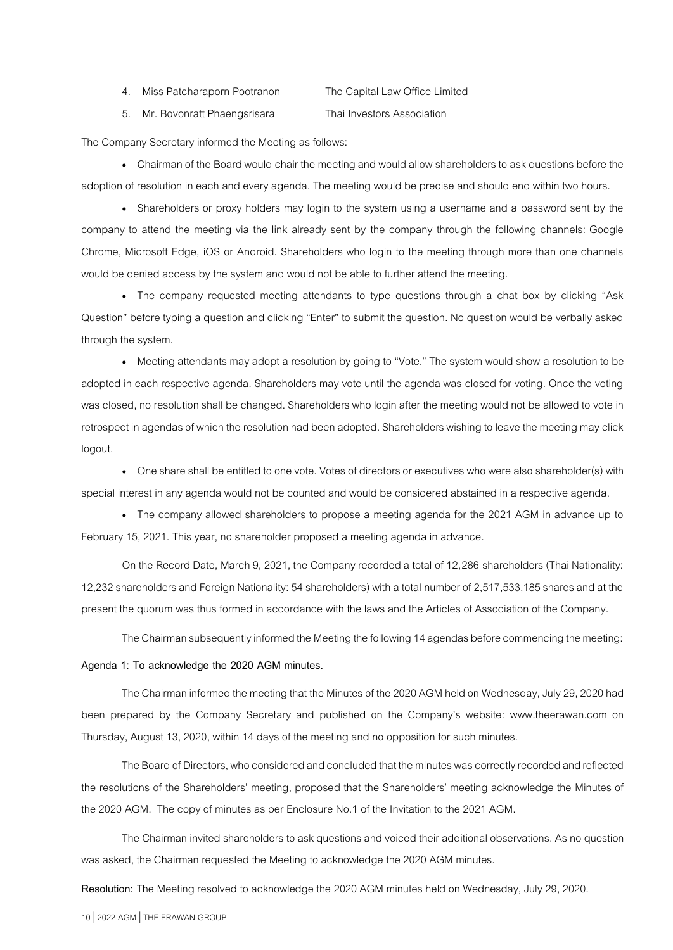4. Miss Patcharaporn Pootranon The Capital Law Office Limited

5. Mr. Bovonratt Phaengsrisara Thai Investors Association

The Company Secretary informed the Meeting as follows:

• Chairman of the Board would chair the meeting and would allow shareholders to ask questions before the adoption of resolution in each and every agenda. The meeting would be precise and should end within two hours.

• Shareholders or proxy holders may login to the system using a username and a password sent by the company to attend the meeting via the link already sent by the company through the following channels: Google Chrome, Microsoft Edge, iOS or Android. Shareholders who login to the meeting through more than one channels would be denied access by the system and would not be able to further attend the meeting.

• The company requested meeting attendants to type questions through a chat box by clicking "Ask Question" before typing a question and clicking "Enter" to submit the question. No question would be verbally asked through the system.

• Meeting attendants may adopt a resolution by going to "Vote." The system would show a resolution to be adopted in each respective agenda. Shareholders may vote until the agenda was closed for voting. Once the voting was closed, no resolution shall be changed. Shareholders who login after the meeting would not be allowed to vote in retrospect in agendas of which the resolution had been adopted. Shareholders wishing to leave the meeting may click logout.

• One share shall be entitled to one vote. Votes of directors or executives who were also shareholder(s) with special interest in any agenda would not be counted and would be considered abstained in a respective agenda.

• The company allowed shareholders to propose a meeting agenda for the 2021 AGM in advance up to February 15, 2021. This year, no shareholder proposed a meeting agenda in advance.

On the Record Date, March 9, 2021, the Company recorded a total of 12,286 shareholders (Thai Nationality: 12,232 shareholders and Foreign Nationality: 54 shareholders) with a total number of 2,517,533,185 shares and at the present the quorum was thus formed in accordance with the laws and the Articles of Association of the Company.

The Chairman subsequently informed the Meeting the following 14 agendas before commencing the meeting:

#### **Agenda 1: To acknowledge the 2020 AGM minutes.**

The Chairman informed the meeting that the Minutes of the 2020 AGM held on Wednesday, July 29, 2020 had been prepared by the Company Secretary and published on the Company's website: [www.theerawan.com](http://www.theerawan.com/) on Thursday, August 13, 2020, within 14 days of the meeting and no opposition for such minutes.

The Board of Directors, who considered and concluded that the minutes was correctly recorded and reflected the resolutions of the Shareholders' meeting, proposed that the Shareholders' meeting acknowledge the Minutes of the 2020 AGM. The copy of minutes as per Enclosure No.1 of the Invitation to the 2021 AGM.

The Chairman invited shareholders to ask questions and voiced their additional observations. As no question was asked, the Chairman requested the Meeting to acknowledge the 2020 AGM minutes.

**Resolution:** The Meeting resolved to acknowledge the 2020 AGM minutes held on Wednesday, July 29, 2020.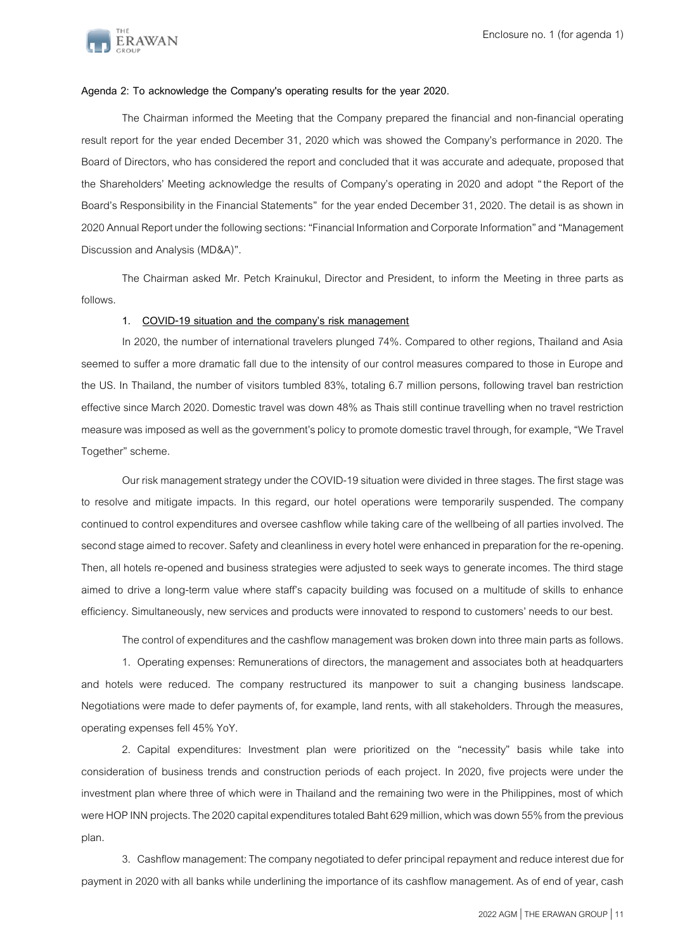

#### **Agenda 2: To acknowledge the Company's operating results for the year 2020.**

The Chairman informed the Meeting that the Company prepared the financial and non-financial operating result report for the year ended December 31, 2020 which was showed the Company's performance in 2020. The Board of Directors, who has considered the report and concluded that it was accurate and adequate, proposed that the Shareholders' Meeting acknowledge the results of Company's operating in 2020 and adopt "the Report of the Board's Responsibility in the Financial Statements" for the year ended December 31, 2020. The detail is as shown in 2020 Annual Report under the following sections: "Financial Information and Corporate Information" and "Management Discussion and Analysis (MD&A)".

The Chairman asked Mr. Petch Krainukul, Director and President, to inform the Meeting in three parts as follows.

#### **1. COVID-19 situation and the company's risk management**

In 2020, the number of international travelers plunged 74%. Compared to other regions, Thailand and Asia seemed to suffer a more dramatic fall due to the intensity of our control measures compared to those in Europe and the US. In Thailand, the number of visitors tumbled 83%, totaling 6.7 million persons, following travel ban restriction effective since March 2020. Domestic travel was down 48% as Thais still continue travelling when no travel restriction measure was imposed as well as the government's policy to promote domestic travel through, for example, "We Travel Together" scheme.

Our risk management strategy under the COVID-19 situation were divided in three stages. The first stage was to resolve and mitigate impacts. In this regard, our hotel operations were temporarily suspended. The company continued to control expenditures and oversee cashflow while taking care of the wellbeing of all parties involved. The second stage aimed to recover. Safety and cleanliness in every hotel were enhanced in preparation for the re-opening. Then, all hotels re-opened and business strategies were adjusted to seek ways to generate incomes. The third stage aimed to drive a long-term value where staff's capacity building was focused on a multitude of skills to enhance efficiency. Simultaneously, new services and products were innovated to respond to customers' needs to our best.

The control of expenditures and the cashflow management was broken down into three main parts as follows.

1. Operating expenses: Remunerations of directors, the management and associates both at headquarters and hotels were reduced. The company restructured its manpower to suit a changing business landscape. Negotiations were made to defer payments of, for example, land rents, with all stakeholders. Through the measures, operating expenses fell 45% YoY.

2. Capital expenditures: Investment plan were prioritized on the "necessity" basis while take into consideration of business trends and construction periods of each project. In 2020, five projects were under the investment plan where three of which were in Thailand and the remaining two were in the Philippines, most of which were HOP INN projects. The 2020 capital expenditures totaled Baht 629 million, which was down 55% from the previous plan.

3. Cashflow management: The company negotiated to defer principal repayment and reduce interest due for payment in 2020 with all banks while underlining the importance of its cashflow management. As of end of year, cash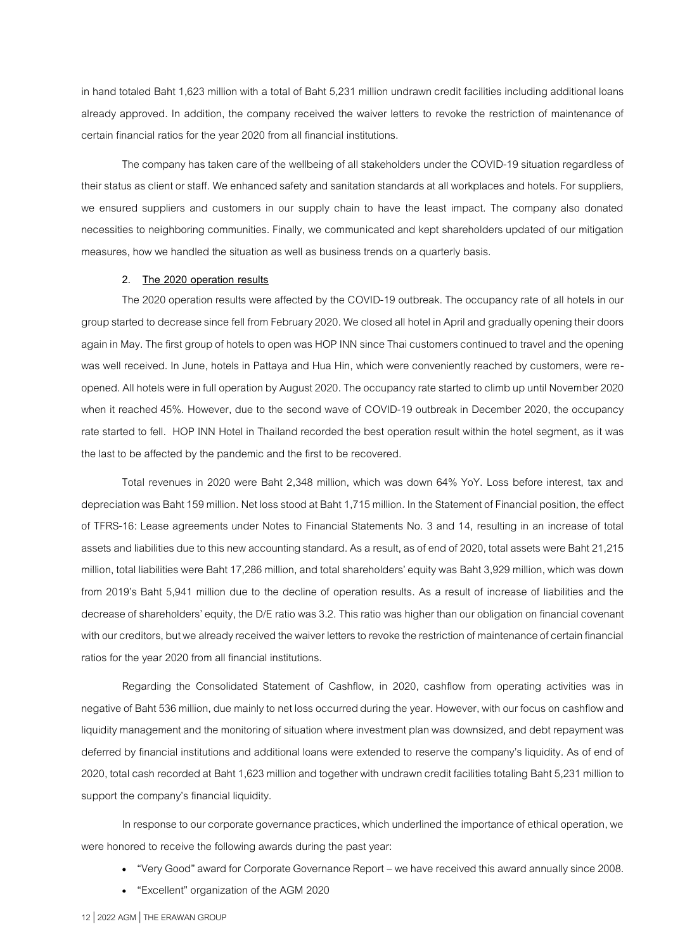in hand totaled Baht 1,623 million with a total of Baht 5,231 million undrawn credit facilities including additional loans already approved. In addition, the company received the waiver letters to revoke the restriction of maintenance of certain financial ratios for the year 2020 from all financial institutions.

The company has taken care of the wellbeing of all stakeholders under the COVID-19 situation regardless of their status as client or staff. We enhanced safety and sanitation standards at all workplaces and hotels. For suppliers, we ensured suppliers and customers in our supply chain to have the least impact. The company also donated necessities to neighboring communities. Finally, we communicated and kept shareholders updated of our mitigation measures, how we handled the situation as well as business trends on a quarterly basis.

#### **2. The 2020 operation results**

The 2020 operation results were affected by the COVID-19 outbreak. The occupancy rate of all hotels in our group started to decrease since fell from February 2020. We closed all hotel in Apriland gradually opening their doors again in May. The first group of hotels to open was HOP INN since Thai customers continued to travel and the opening was well received. In June, hotels in Pattaya and Hua Hin, which were conveniently reached by customers, were reopened. All hotels were in full operation by August 2020. The occupancy rate started to climb up until November 2020 when it reached 45%. However, due to the second wave of COVID-19 outbreak in December 2020, the occupancy rate started to fell. HOP INN Hotel in Thailand recorded the best operation result within the hotel segment, as it was the last to be affected by the pandemic and the first to be recovered.

Total revenues in 2020 were Baht 2,348 million, which was down 64% YoY. Loss before interest, tax and depreciation was Baht 159 million. Net loss stood at Baht 1,715 million. In the Statement of Financial position, the effect of TFRS-16: Lease agreements under Notes to Financial Statements No. 3 and 14, resulting in an increase of total assets and liabilities due to this new accounting standard. As a result, as of end of 2020, total assets were Baht 21,215 million, total liabilities were Baht 17,286 million, and total shareholders' equity was Baht 3,929 million, which was down from 2019's Baht 5,941 million due to the decline of operation results. As a result of increase of liabilities and the decrease of shareholders' equity, the D/E ratio was 3.2. This ratio was higher than our obligation on financial covenant with our creditors, but we already received the waiver letters to revoke the restriction of maintenance of certain financial ratios for the year 2020 from all financial institutions.

Regarding the Consolidated Statement of Cashflow, in 2020, cashflow from operating activities was in negative of Baht 536 million, due mainly to net loss occurred during the year. However, with our focus on cashflow and liquidity management and the monitoring of situation where investment plan was downsized, and debt repayment was deferred by financial institutions and additional loans were extended to reserve the company's liquidity. As of end of 2020, total cash recorded at Baht 1,623 million and together with undrawn credit facilities totaling Baht 5,231 million to support the company's financial liquidity.

In response to our corporate governance practices, which underlined the importance of ethical operation, we were honored to receive the following awards during the past year:

- "Very Good" award for Corporate Governance Report we have received this award annually since 2008.
- "Excellent" organization of the AGM 2020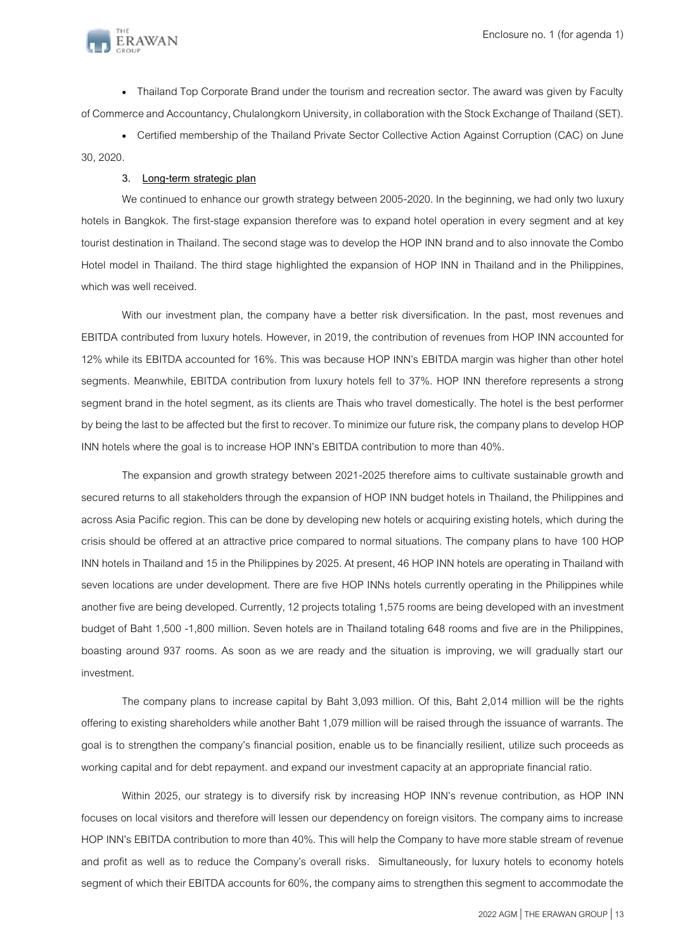

• Thailand Top Corporate Brand under the tourism and recreation sector. The award was given by Faculty of Commerce and Accountancy, Chulalongkorn University, in collaboration with the Stock Exchange of Thailand (SET).

• Certified membership of the Thailand Private Sector Collective Action Against Corruption (CAC) on June 30, 2020.

## **3. Long-term strategic plan**

We continued to enhance our growth strategy between 2005-2020. In the beginning, we had only two luxury hotels in Bangkok. The first-stage expansion therefore was to expand hotel operation in every segment and at key tourist destination in Thailand. The second stage was to develop the HOP INN brand and to also innovate the Combo Hotel model in Thailand. The third stage highlighted the expansion of HOP INN in Thailand and in the Philippines, which was well received.

With our investment plan, the company have a better risk diversification. In the past, most revenues and EBITDA contributed from luxury hotels. However, in 2019, the contribution of revenues from HOP INN accounted for 12% while its EBITDA accounted for 16%. This was because HOP INN's EBITDA margin was higher than other hotel segments. Meanwhile, EBITDA contribution from luxury hotels fell to 37%. HOP INN therefore represents a strong segment brand in the hotel segment, as its clients are Thais who travel domestically. The hotel is the best performer by being the last to be affected but the first to recover. To minimize our future risk, the company plans to develop HOP INN hotels where the goal is to increase HOP INN's EBITDA contribution to more than 40%.

The expansion and growth strategy between 2021-2025 therefore aims to cultivate sustainable growth and secured returns to all stakeholders through the expansion of HOP INN budget hotels in Thailand, the Philippines and across Asia Pacific region. This can be done by developing new hotels or acquiring existing hotels, which during the crisis should be offered at an attractive price compared to normal situations. The company plans to have 100 HOP INN hotels in Thailand and 15 in the Philippines by 2025. At present, 46 HOP INN hotels are operating in Thailand with seven locations are under development. There are five HOP INNs hotels currently operating in the Philippines while another five are being developed. Currently, 12 projects totaling 1,575 rooms are being developed with an investment budget of Baht 1,500 -1,800 million. Seven hotels are in Thailand totaling 648 rooms and five are in the Philippines, boasting around 937 rooms. As soon as we are ready and the situation is improving, we will gradually start our investment.

The company plans to increase capital by Baht 3,093 million. Of this, Baht 2,014 million will be the rights offering to existing shareholders while another Baht 1,079 million will be raised through the issuance of warrants. The goal is to strengthen the company's financial position, enable us to be financially resilient, utilize such proceeds as working capital and for debt repayment. and expand our investment capacity at an appropriate financial ratio.

Within 2025, our strategy is to diversify risk by increasing HOP INN's revenue contribution, as HOP INN focuses on local visitors and therefore will lessen our dependency on foreign visitors. The company aims to increase HOP INN's EBITDA contribution to more than 40%. This will help the Company to have more stable stream of revenue and profit as well as to reduce the Company's overall risks. Simultaneously, for luxury hotels to economy hotels segment of which their EBITDA accounts for 60%, the company aims to strengthen this segment to accommodate the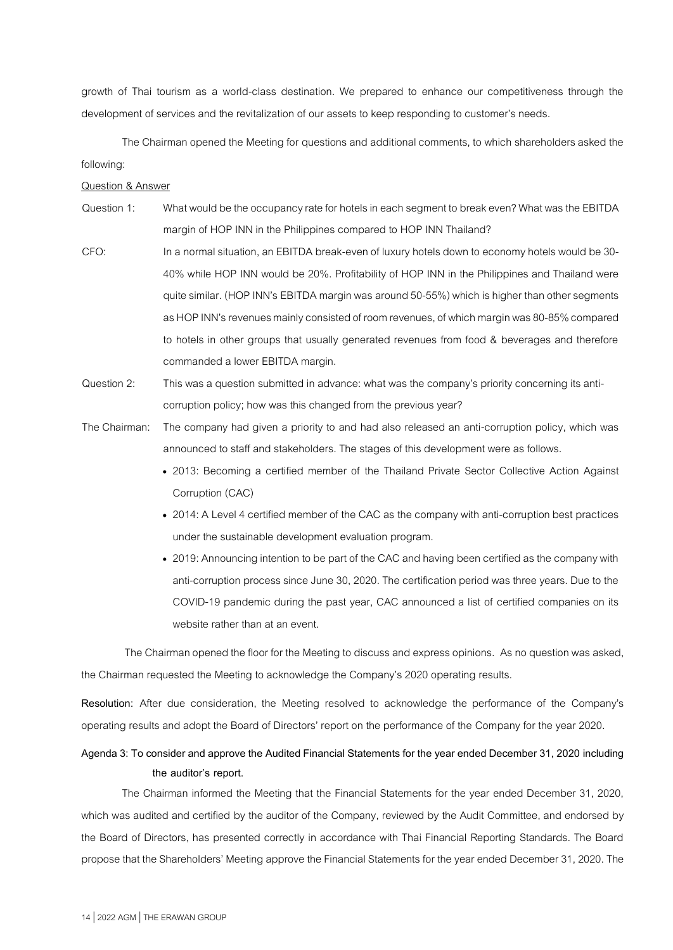growth of Thai tourism as a world-class destination. We prepared to enhance our competitiveness through the development of services and the revitalization of our assets to keep responding to customer's needs.

The Chairman opened the Meeting for questions and additional comments, to which shareholders asked the following:

#### Question & Answer

- Question 1: What would be the occupancy rate for hotels in each segment to break even? What was the EBITDA margin of HOP INN in the Philippines compared to HOP INN Thailand?
- CFO: In a normal situation, an EBITDA break-even of luxuryhotels down to economyhotels would be 30- 40% while HOP INN would be 20%. Profitability of HOP INN in the Philippines and Thailand were quite similar. (HOP INN's EBITDA margin was around 50-55%) which is higher than other segments as HOP INN's revenues mainly consisted of room revenues, of which margin was 80-85% compared to hotels in other groups that usually generated revenues from food & beverages and therefore commanded a lower EBITDA margin.
- Question 2: This was a question submitted in advance: what was the company's priority concerning its anticorruption policy; how was this changed from the previous year?
- The Chairman: The company had given a priority to and had also released an anti-corruption policy, which was announced to staff and stakeholders. The stages of this development were as follows.
	- 2013: Becoming a certified member of the Thailand Private Sector Collective Action Against Corruption (CAC)
	- 2014: A Level 4 certified member of the CAC as the company with anti-corruption best practices under the sustainable development evaluation program.
	- 2019: Announcing intention to be part of the CAC and having been certified as the company with anti-corruption process since June 30, 2020. The certification period was three years. Due to the COVID-19 pandemic during the past year, CAC announced a list of certified companies on its website rather than at an event.

The Chairman opened the floor for the Meeting to discuss and express opinions. As no question was asked, the Chairman requested the Meeting to acknowledge the Company's 2020 operating results.

**Resolution:** After due consideration, the Meeting resolved to acknowledge the performance of the Company's operating results and adopt the Board of Directors' report on the performance of the Company for the year 2020.

# **Agenda 3: To consider and approve the Audited Financial Statements for the year ended December 31, 2020 including the auditor's report.**

The Chairman informed the Meeting that the Financial Statements for the year ended December 31, 2020, which was audited and certified by the auditor of the Company, reviewed by the Audit Committee, and endorsed by the Board of Directors, has presented correctly in accordance with Thai Financial Reporting Standards. The Board propose that the Shareholders' Meeting approve the Financial Statements for the year ended December 31, 2020. The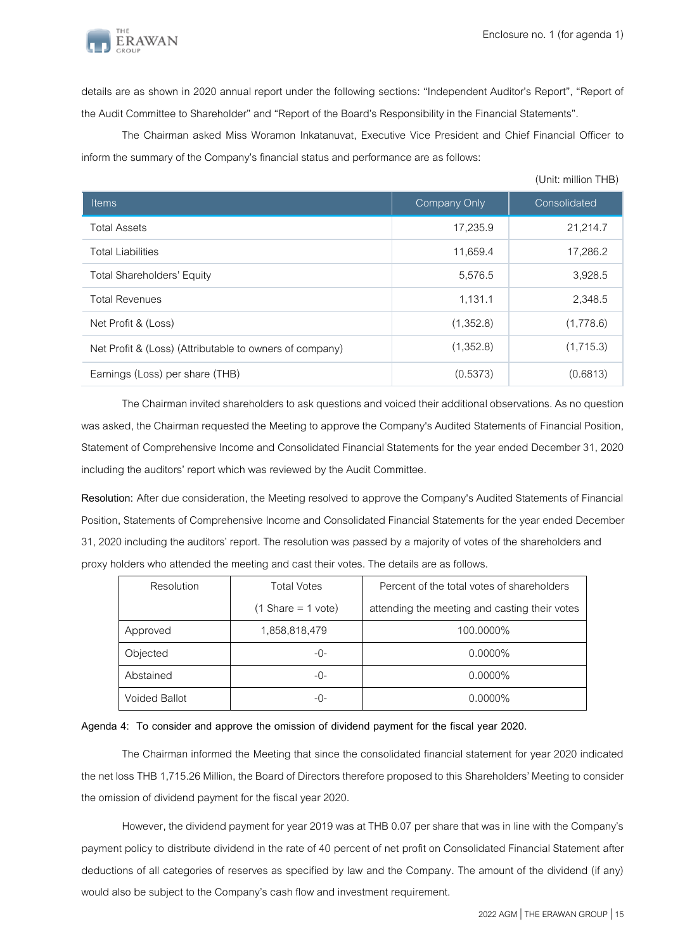(Unit: million THB)



details are as shown in 2020 annual report under the following sections: "Independent Auditor's Report", "Report of the Audit Committee to Shareholder" and "Report of the Board's Responsibility in the Financial Statements".

The Chairman asked Miss Woramon Inkatanuvat, Executive Vice President and Chief Financial Officer to inform the summary of the Company's financial status and performance are as follows:

| <b>Items</b>                                            | <b>Company Only</b> | Consolidated |
|---------------------------------------------------------|---------------------|--------------|
| <b>Total Assets</b>                                     | 17,235.9            | 21,214.7     |
| <b>Total Liabilities</b>                                | 11,659.4            | 17,286.2     |
| <b>Total Shareholders' Equity</b>                       | 5,576.5             | 3,928.5      |
| <b>Total Revenues</b>                                   | 1,131.1             | 2,348.5      |
| Net Profit & (Loss)                                     | (1,352.8)           | (1,778.6)    |
| Net Profit & (Loss) (Attributable to owners of company) | (1,352.8)           | (1,715.3)    |
| Earnings (Loss) per share (THB)                         | (0.5373)            | (0.6813)     |

The Chairman invited shareholders to ask questions and voiced their additional observations. As no question was asked, the Chairman requested the Meeting to approve the Company's Audited Statements of Financial Position, Statement of Comprehensive Income and Consolidated Financial Statements for the year ended December 31, 2020 including the auditors' report which was reviewed by the Audit Committee.

**Resolution:** After due consideration, the Meeting resolved to approve the Company's Audited Statements of Financial Position, Statements of Comprehensive Income and Consolidated Financial Statements for the year ended December 31, 2020 including the auditors' report. The resolution was passed by a majority of votes of the shareholders and proxy holders who attended the meeting and cast their votes. The details are as follows.

| Resolution    | <b>Total Votes</b>                  | Percent of the total votes of shareholders    |
|---------------|-------------------------------------|-----------------------------------------------|
|               | $(1 \text{Share} = 1 \text{ vote})$ | attending the meeting and casting their votes |
| Approved      | 1,858,818,479                       | 100.0000%                                     |
| Objected      | $-()$ -                             | $0.0000\%$                                    |
| Abstained     | -0-                                 | $0.0000\%$                                    |
| Voided Ballot | -0-                                 | $0.0000\%$                                    |

#### **Agenda 4: To consider and approve the omission of dividend payment for the fiscal year 2020.**

The Chairman informed the Meeting that since the consolidated financial statement for year 2020 indicated the net loss THB 1,715.26 Million, the Board of Directors therefore proposed to this Shareholders' Meeting to consider the omission of dividend payment for the fiscal year 2020.

However, the dividend payment for year 2019 was at THB 0.07 per share that was in line with the Company's payment policy to distribute dividend in the rate of 40 percent of net profit on Consolidated Financial Statement after deductions of all categories of reserves as specified by law and the Company. The amount of the dividend (if any) would also be subject to the Company's cash flow and investment requirement.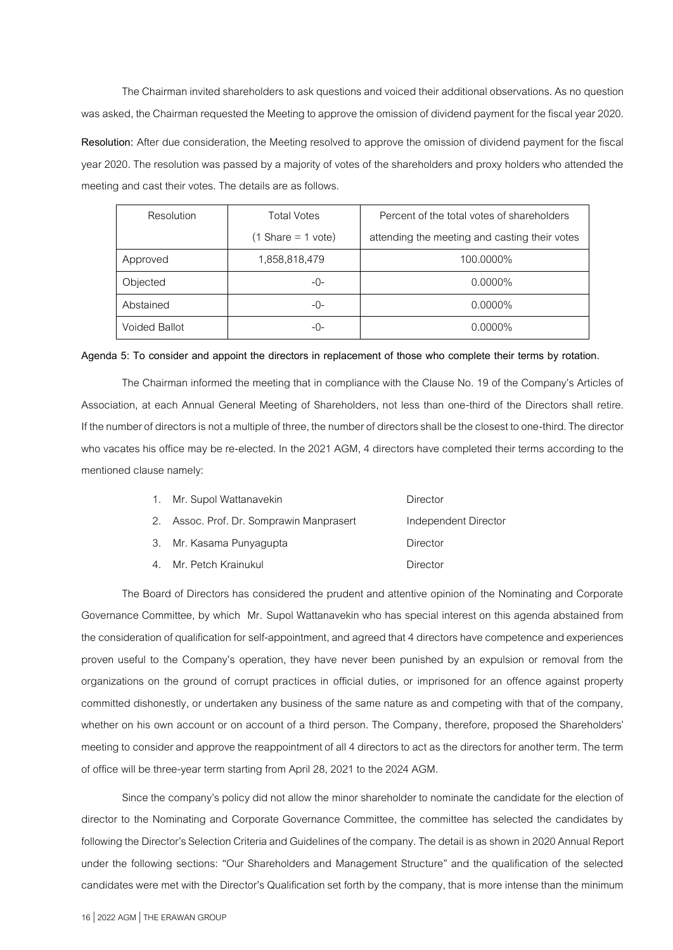The Chairman invited shareholders to ask questions and voiced their additional observations. As no question was asked, the Chairman requested the Meeting to approve the omission of dividend payment for the fiscal year 2020. **Resolution:** After due consideration, the Meeting resolved to approve the omission of dividend payment for the fiscal year 2020.The resolution was passed by a majority of votes of the shareholders and proxy holders who attended the meeting and cast their votes. The details are as follows.

| Resolution    | <b>Total Votes</b>                  | Percent of the total votes of shareholders    |
|---------------|-------------------------------------|-----------------------------------------------|
|               | $(1 \text{Share} = 1 \text{ vote})$ | attending the meeting and casting their votes |
| Approved      | 1,858,818,479                       | 100.0000%                                     |
| Objected      | -0-                                 | $0.0000\%$                                    |
| Abstained     | -0-                                 | $0.0000\%$                                    |
| Voided Ballot | -0-                                 | $0.0000\%$                                    |

#### **Agenda 5: To consider and appoint the directors in replacement of those who complete their terms by rotation.**

The Chairman informed the meeting that in compliance with the Clause No. 19 of the Company's Articles of Association, at each Annual General Meeting of Shareholders, not less than one-third of the Directors shall retire. If the number of directors is not a multiple of three, the number of directors shall be the closest to one-third. The director who vacates his office may be re-elected. In the 2021 AGM, 4 directors have completed their terms according to the mentioned clause namely:

| 1. Mr. Supol Wattanavekin                | Director             |
|------------------------------------------|----------------------|
| 2. Assoc. Prof. Dr. Somprawin Manprasert | Independent Director |
| 3. Mr. Kasama Punyagupta                 | Director             |
| 4. Mr. Petch Krainukul                   | Director             |

The Board of Directors has considered the prudent and attentive opinion of the Nominating and Corporate Governance Committee, by which Mr. Supol Wattanavekin who has special interest on this agenda abstained from the consideration of qualification for self-appointment, and agreed that 4 directors have competence and experiences proven useful to the Company's operation, they have never been punished by an expulsion or removal from the organizations on the ground of corrupt practices in official duties, or imprisoned for an offence against property committed dishonestly, or undertaken any business of the same nature as and competing with that of the company, whether on his own account or on account of a third person. The Company, therefore, proposed the Shareholders' meeting to consider and approve the reappointment of all 4 directors to act as the directors for another term. The term of office will be three-year term starting from April 28, 2021 to the 2024 AGM.

Since the company's policy did not allow the minor shareholder to nominate the candidate for the election of director to the Nominating and Corporate Governance Committee, the committee has selected the candidates by following the Director's Selection Criteria and Guidelines of the company. The detail is as shown in 2020 Annual Report under the following sections: "Our Shareholders and Management Structure" and the qualification of the selected candidates were met with the Director's Qualification set forth by the company, that is more intense than the minimum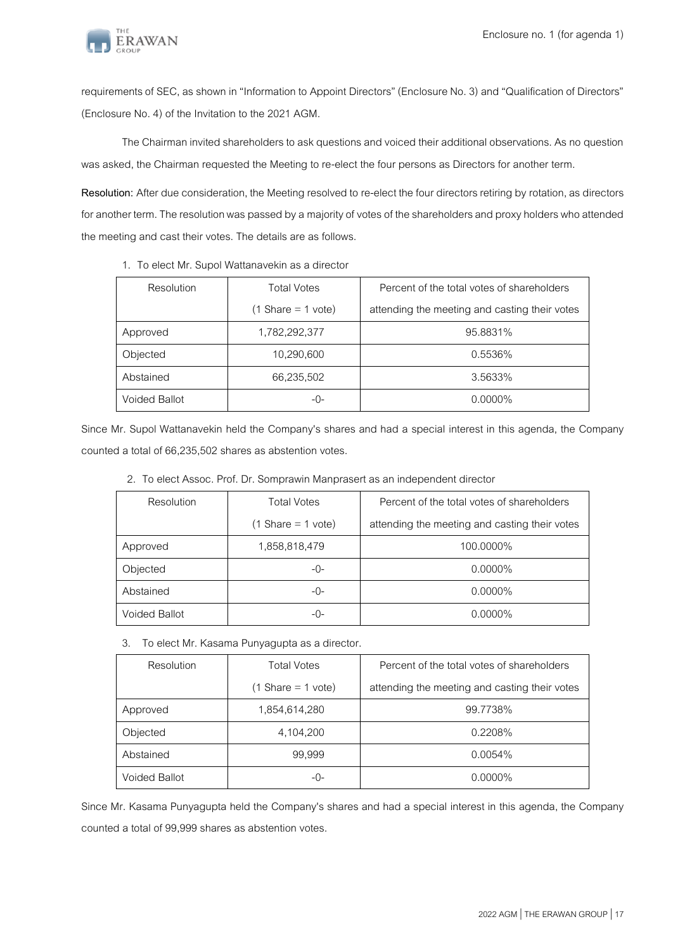

requirements of SEC, as shown in "Information to Appoint Directors" (Enclosure No. 3) and "Qualification of Directors" (Enclosure No. 4) of the Invitation to the 2021 AGM.

The Chairman invited shareholders to ask questions and voiced their additional observations. As no question was asked, the Chairman requested the Meeting to re-elect the four persons as Directors for another term.

**Resolution:** After due consideration, the Meeting resolved to re-elect the four directors retiring by rotation, as directors for another term. The resolution was passed by a majority of votes of the shareholders and proxy holders who attended the meeting and cast their votes. The details are as follows.

| Resolution    | <b>Total Votes</b>                  | Percent of the total votes of shareholders    |
|---------------|-------------------------------------|-----------------------------------------------|
|               | $(1 \text{Share} = 1 \text{ vote})$ | attending the meeting and casting their votes |
| Approved      | 1,782,292,377                       | 95.8831%                                      |
| Objected      | 10,290,600                          | 0.5536%                                       |
| Abstained     | 66,235,502                          | 3.5633%                                       |
| Voided Ballot | -()-                                | $0.0000\%$                                    |

1. To elect Mr. Supol Wattanavekin as a director

Since Mr. Supol Wattanavekin held the Company's shares and had a special interest in this agenda, the Company counted a total of 66,235,502 shares as abstention votes.

| Resolution    | <b>Total Votes</b>                  | Percent of the total votes of shareholders    |
|---------------|-------------------------------------|-----------------------------------------------|
|               | $(1 \text{Share} = 1 \text{ vote})$ | attending the meeting and casting their votes |
| Approved      | 1,858,818,479                       | 100.0000%                                     |
| Objected      | -0-                                 | $0.0000\%$                                    |
| Abstained     | -0-                                 | $0.0000\%$                                    |
| Voided Ballot | -0-                                 | $0.0000\%$                                    |

2. To elect Assoc. Prof. Dr. Somprawin Manprasert as an independent director

#### 3. To elect Mr. Kasama Punyagupta as a director.

| Resolution           | <b>Total Votes</b>                  | Percent of the total votes of shareholders    |
|----------------------|-------------------------------------|-----------------------------------------------|
|                      | $(1 \text{Share} = 1 \text{ vote})$ | attending the meeting and casting their votes |
| Approved             | 1,854,614,280                       | 99.7738%                                      |
| Objected             | 4,104,200                           | 0.2208%                                       |
| Abstained            | 99,999                              | $0.0054\%$                                    |
| <b>Voided Ballot</b> | -0-                                 | $0.0000\%$                                    |

Since Mr. Kasama Punyagupta held the Company's shares and had a special interest in this agenda, the Company counted a total of 99,999 shares as abstention votes.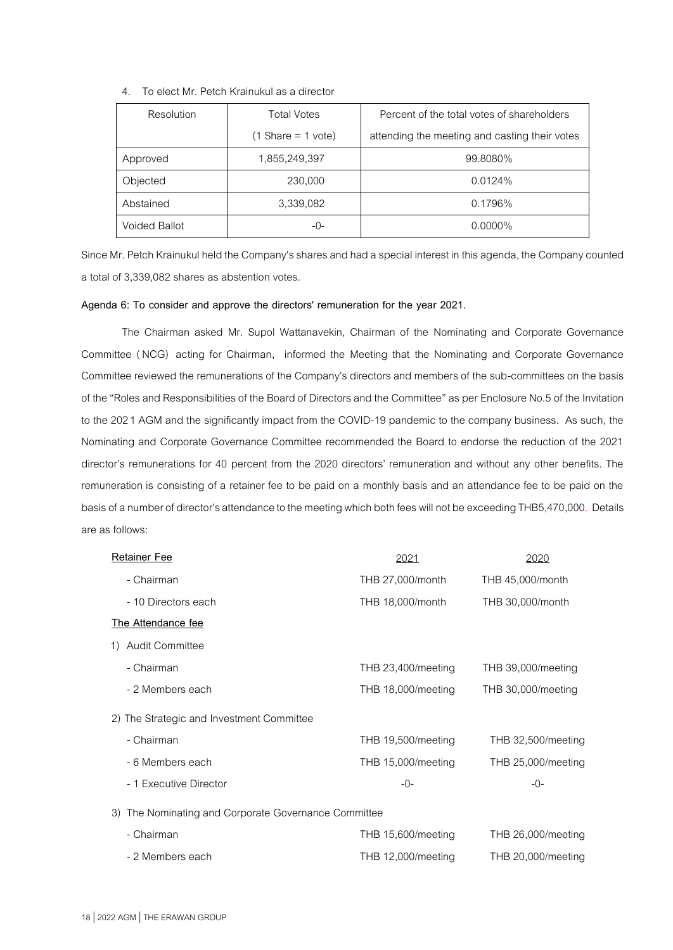| 4. To elect Mr. Petch Krainukul as a director |  |  |
|-----------------------------------------------|--|--|
|                                               |  |  |

| Resolution           | <b>Total Votes</b>                  | Percent of the total votes of shareholders    |
|----------------------|-------------------------------------|-----------------------------------------------|
|                      | $(1 \text{Share} = 1 \text{ vote})$ | attending the meeting and casting their votes |
| Approved             | 1,855,249,397                       | 99.8080%                                      |
| Objected             | 230,000                             | $0.0124\%$                                    |
| Abstained            | 3,339,082                           | 0.1796%                                       |
| <b>Voided Ballot</b> | -0-                                 | $0.0000\%$                                    |

Since Mr. Petch Krainukul held the Company's shares and had a special interest in this agenda, the Company counted a total of 3,339,082 shares as abstention votes.

### **Agenda 6: To consider and approve the directors' remuneration for the year 2021.**

The Chairman asked Mr. Supol Wattanavekin, Chairman of the Nominating and Corporate Governance Committee ( NCG) acting for Chairman, informed the Meeting that the Nominating and Corporate Governance Committee reviewed the remunerations of the Company's directors and members of the sub-committees on the basis of the "Roles and Responsibilities of the Board of Directors and the Committee"as per Enclosure No.5of the Invitation to the 2021 AGM and the significantly impact from the COVID-19 pandemic to the company business. As such, the Nominating and Corporate Governance Committee recommended the Board to endorse the reduction of the 2021 director's remunerations for 40 percent from the 2020 directors' remuneration and without any other benefits. The remuneration is consisting of a retainer fee to be paid on a monthly basis and an attendance fee to be paid on the basis of a number of director's attendance to the meeting which both fees will not be exceeding THB5,470,000. Details are as follows:

| <b>Retainer Fee</b>                                  | 2021               | 2020               |
|------------------------------------------------------|--------------------|--------------------|
| - Chairman                                           | THB 27,000/month   | THB 45,000/month   |
| - 10 Directors each                                  | THB 18,000/month   | THB 30,000/month   |
| The Attendance fee                                   |                    |                    |
| <b>Audit Committee</b><br>1)                         |                    |                    |
| - Chairman                                           | THB 23,400/meeting | THB 39,000/meeting |
| - 2 Members each                                     | THB 18,000/meeting | THB 30,000/meeting |
| 2) The Strategic and Investment Committee            |                    |                    |
| - Chairman                                           | THB 19,500/meeting | THB 32,500/meeting |
| - 6 Members each                                     | THB 15,000/meeting | THB 25,000/meeting |
| - 1 Executive Director                               | $-0-$              | $-()$ -            |
| 3) The Nominating and Corporate Governance Committee |                    |                    |
| - Chairman                                           | THB 15,600/meeting | THB 26,000/meeting |
| - 2 Members each                                     | THB 12,000/meeting | THB 20,000/meeting |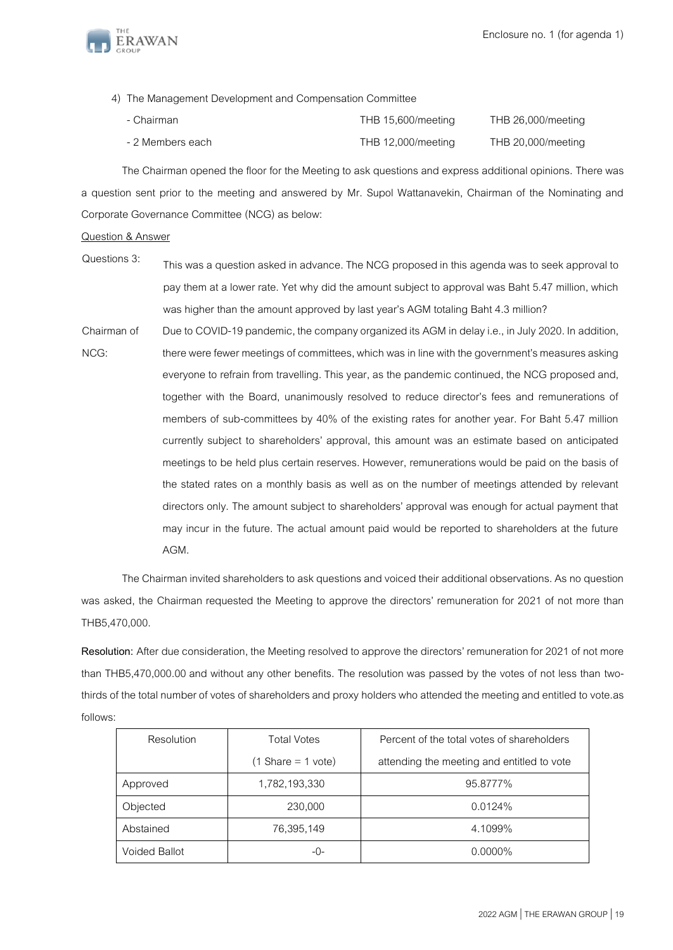

4) The Management Development and Compensation Committee

| - Chairman       | THB 15,600/meeting | THB 26,000/meeting |
|------------------|--------------------|--------------------|
| - 2 Members each | THB 12,000/meeting | THB 20,000/meeting |

The Chairman opened the floor for the Meeting to ask questions and express additional opinions. There was a question sent prior to the meeting and answered by Mr. Supol Wattanavekin, Chairman of the Nominating and Corporate Governance Committee (NCG) as below:

Question & Answer

- Questions 3: This was a question asked in advance. The NCG proposed in this agenda was to seek approval to pay them at a lower rate. Yet why did the amount subject to approval was Baht 5.47 million, which was higher than the amount approved by last year's AGM totaling Baht 4.3 million?
- Chairman of NCG: Due to COVID-19 pandemic, the company organized its AGM in delay i.e., in July 2020. In addition, there were fewer meetings of committees, which was in line with the government's measures asking everyone to refrain from travelling. This year, as the pandemic continued, the NCG proposed and, together with the Board, unanimously resolved to reduce director's fees and remunerations of members of sub-committees by 40% of the existing rates for another year. For Baht 5.47 million currently subject to shareholders' approval, this amount was an estimate based on anticipated meetings to be held plus certain reserves. However, remunerations would be paid on the basis of the stated rates on a monthly basis as well as on the number of meetings attended by relevant directors only. The amount subject to shareholders' approval was enough for actual payment that may incur in the future. The actual amount paid would be reported to shareholders at the future AGM.

The Chairman invited shareholders to ask questions and voiced their additional observations. As no question was asked, the Chairman requested the Meeting to approve the directors' remuneration for 2021 of not more than THB5,470,000.

Resolution: After due consideration, the Meeting resolved to approve the directors' remuneration for 2021 of not more than THB5,470,000.00 and without any other benefits. The resolution was passed by the votes of not less than twothirds of the total number of votes of shareholders and proxy holders who attended the meeting and entitled to vote.as follows:

| Resolution           | <b>Total Votes</b>                  | Percent of the total votes of shareholders |
|----------------------|-------------------------------------|--------------------------------------------|
|                      | $(1 \text{Share} = 1 \text{ vote})$ | attending the meeting and entitled to vote |
| Approved             | 1,782,193,330                       | 95.8777%                                   |
| Objected             | 230,000                             | $0.0124\%$                                 |
| Abstained            | 76,395,149                          | 4.1099%                                    |
| <b>Voided Ballot</b> | -0-                                 | $0.0000\%$                                 |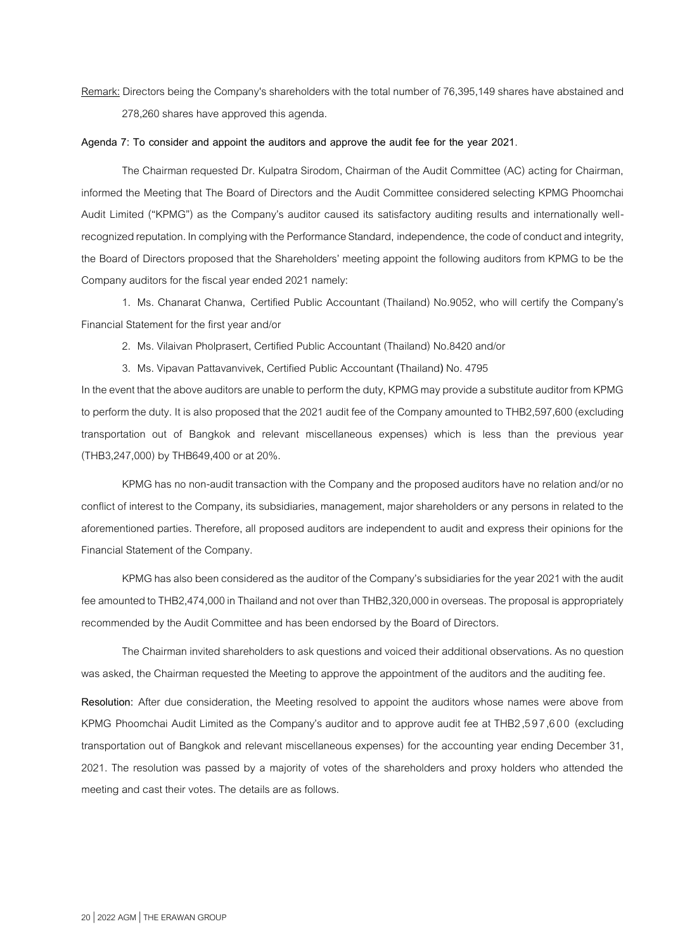Remark: Directors being the Company's shareholders with the total number of 76,395,149 shares have abstained and 278,260 shares have approved this agenda.

### **Agenda 7: To consider and appoint the auditors and approve the audit fee for the year 2021**.

The Chairman requested Dr. Kulpatra Sirodom, Chairman of the Audit Committee (AC) acting for Chairman, informed the Meeting that The Board of Directors and the Audit Committee considered selecting KPMG Phoomchai Audit Limited ("KPMG") as the Company's auditor caused its satisfactory auditing results and internationally wellrecognized reputation. In complying with the Performance Standard, independence, the code of conduct and integrity, the Board of Directors proposed that the Shareholders' meeting appoint the following auditors from KPMG to be the Company auditors for the fiscal year ended 2021 namely:

1. Ms. Chanarat Chanwa, Certified Public Accountant (Thailand) No.9052, who will certify the Company's Financial Statement for the first year and/or

2. Ms. Vilaivan Pholprasert, Certified Public Accountant (Thailand) No.8420 and/or

3. Ms. Vipavan Pattavanvivek, Certified Public Accountant **(**Thailand**)** No. 4795

In the event that the above auditors are unable to perform the duty, KPMG may provide a substitute auditor from KPMG to perform the duty. It is also proposed that the 2021 audit fee of the Company amounted to THB2,597,600 (excluding transportation out of Bangkok and relevant miscellaneous expenses) which is less than the previous year (THB3,247,000) by THB649,400 or at 20%.

KPMG has no non-audit transaction with the Company and the proposed auditors have no relation and/or no conflict of interest to the Company, its subsidiaries, management, major shareholders or any persons in related to the aforementioned parties. Therefore, all proposed auditors are independent to audit and express their opinions for the Financial Statement of the Company.

KPMG has also been considered as the auditor of the Company's subsidiaries for the year 2021 with the audit fee amounted to THB2,474,000 in Thailand and not over than THB2,320,000 in overseas. The proposal is appropriately recommended by the Audit Committee and has been endorsed by the Board of Directors.

The Chairman invited shareholders to ask questions and voiced their additional observations. As no question was asked, the Chairman requested the Meeting to approve the appointment of the auditors and the auditing fee.

**Resolution:** After due consideration, the Meeting resolved to appoint the auditors whose names were above from KPMG Phoomchai Audit Limited as the Company's auditor and to approve audit fee at THB2,597,6 00 (excluding transportation out of Bangkok and relevant miscellaneous expenses) for the accounting year ending December 31, 2021. The resolution was passed by a majority of votes of the shareholders and proxy holders who attended the meeting and cast their votes. The details are as follows.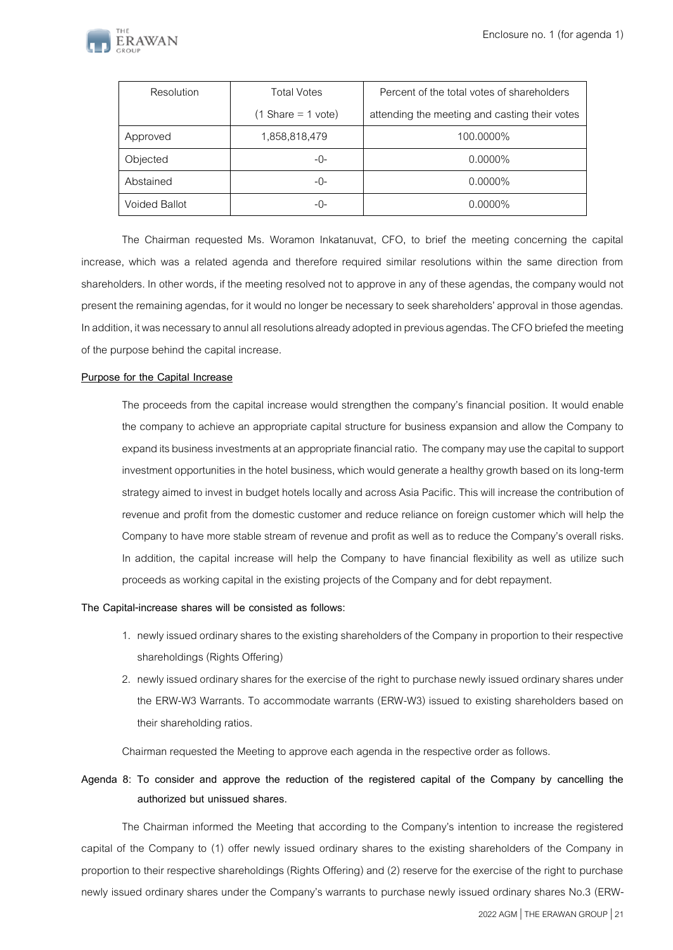

| Resolution           | <b>Total Votes</b>                  | Percent of the total votes of shareholders    |
|----------------------|-------------------------------------|-----------------------------------------------|
|                      | $(1 \text{Share} = 1 \text{ vote})$ | attending the meeting and casting their votes |
| Approved             | 1,858,818,479                       | 100.0000%                                     |
| Objected             | -0-                                 | $0.0000\%$                                    |
| Abstained            | -0-                                 | $0.0000\%$                                    |
| <b>Voided Ballot</b> | -0-                                 | $0.0000\%$                                    |

The Chairman requested Ms. Woramon Inkatanuvat, CFO, to brief the meeting concerning the capital increase, which was a related agenda and therefore required similar resolutions within the same direction from shareholders. In other words, if the meeting resolved not to approve in any of these agendas, the company would not present the remaining agendas, for it would no longer be necessary to seek shareholders' approval in those agendas. In addition, it was necessary to annul all resolutions already adopted in previous agendas. The CFO briefed the meeting of the purpose behind the capital increase.

## **Purpose for the Capital Increase**

The proceeds from the capital increase would strengthen the company's financial position. It would enable the company to achieve an appropriate capital structure for business expansion and allow the Company to expand its business investments at an appropriate financial ratio. The company may use the capital to support investment opportunities in the hotel business, which would generate a healthy growth based on its long-term strategy aimed to invest in budget hotels locally and across Asia Pacific. This will increase the contribution of revenue and profit from the domestic customer and reduce reliance on foreign customer which willhelp the Company to have more stable stream of revenue and profit as well as to reduce the Company's overall risks. In addition, the capital increase will help the Company to have financial flexibility as well as utilize such proceeds as working capital in the existing projects of the Company and for debt repayment.

#### **The Capital-increase shares will be consisted as follows:**

- 1. newly issued ordinary shares to the existing shareholders of the Company in proportion to their respective shareholdings (Rights Offering)
- 2. newly issued ordinary shares for the exercise of the right to purchase newly issued ordinary shares under the ERW-W3 Warrants. To accommodate warrants (ERW-W3) issued to existing shareholders based on their shareholding ratios.

Chairman requested the Meeting to approve each agenda in the respective order as follows.

# **Agenda 8: To consider and approve the reduction of the registered capital of the Company by cancelling the authorized but unissued shares.**

The Chairman informed the Meeting that according to the Company's intention to increase the registered capital of the Company to (1) offer newly issued ordinary shares to the existing shareholders of the Company in proportion to their respective shareholdings (Rights Offering) and (2) reserve for the exercise of the right to purchase newly issued ordinary shares under the Company's warrants to purchase newly issued ordinary shares No.3 (ERW-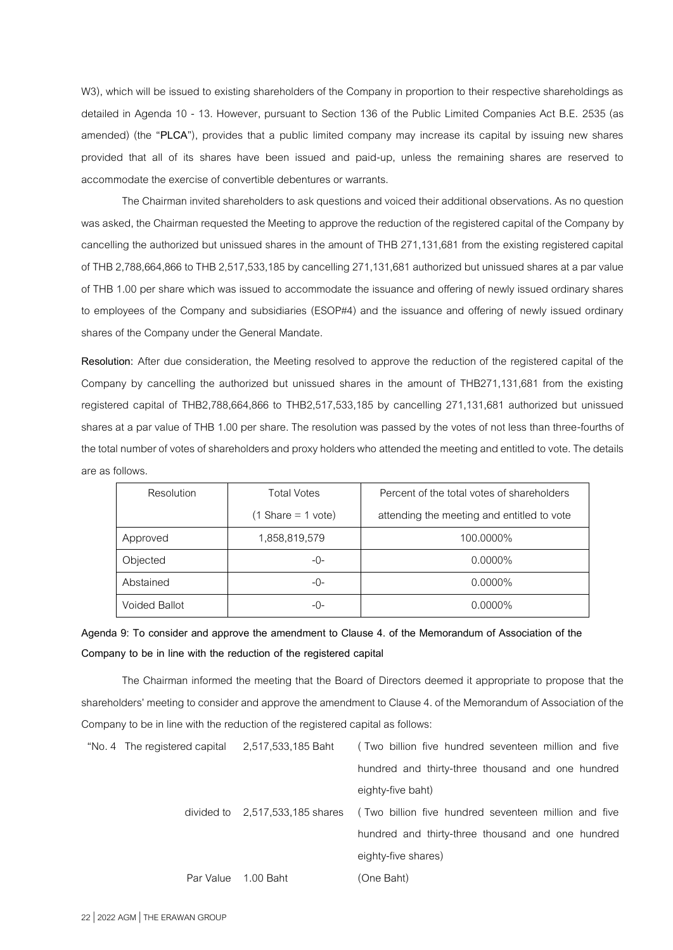W3), which will be issued to existing shareholders of the Company in proportion to their respective shareholdings as detailed in Agenda 10 - 13. However, pursuant to Section 136 of the Public Limited Companies Act B.E. 2535 (as amended) (the "**PLCA**"), provides that a public limited company may increase its capital by issuing new shares provided that all of its shares have been issued and paid-up, unless the remaining shares are reserved to accommodate the exercise of convertible debentures or warrants.

The Chairman invited shareholders to ask questions and voiced their additional observations. As no question was asked, the Chairman requested the Meeting to approve the reduction of the registered capital of the Company by cancelling the authorized but unissued shares in the amount of THB 271,131,681 from the existing registered capital of THB 2,788,664,866 to THB 2,517,533,185 by cancelling 271,131,681 authorized but unissued shares at a par value of THB 1.00 per share which was issued to accommodate the issuance and offering of newly issued ordinary shares to employees of the Company and subsidiaries (ESOP#4) and the issuance and offering of newly issued ordinary shares of the Company under the General Mandate.

**Resolution:** After due consideration, the Meeting resolved to approve the reduction of the registered capital of the Company by cancelling the authorized but unissued shares in the amount of THB271,131,681 from the existing registered capital of THB2,788,664,866 to THB2,517,533,185 by cancelling 271,131,681 authorized but unissued shares at a par value of THB 1.00 per share. The resolution was passed by the votes of not less than three-fourths of the total number of votes of shareholders and proxy holders who attended the meeting and entitled to vote. The details are as follows.

| Resolution           | <b>Total Votes</b>                  | Percent of the total votes of shareholders |
|----------------------|-------------------------------------|--------------------------------------------|
|                      | $(1 \text{Share} = 1 \text{ vote})$ | attending the meeting and entitled to vote |
| Approved             | 1,858,819,579                       | 100.0000%                                  |
| Objected             | -0-                                 | $0.0000\%$                                 |
| Abstained            | $-()$ -                             | $0.0000\%$                                 |
| <b>Voided Ballot</b> | -0-                                 | $0.0000\%$                                 |

# **Agenda 9: To consider and approve the amendment to Clause 4. of the Memorandum of Association of the Company to be in line with the reduction of the registered capital**

The Chairman informed the meeting that the Board of Directors deemed it appropriate to propose that the shareholders' meeting to consider and approve the amendment to Clause 4. of the Memorandum of Association of the Company to be in line with the reduction of the registered capital as follows:

| "No. 4 The registered capital 2,517,533,185 Baht |           | (Two billion five hundred seventeen million and five                                 |
|--------------------------------------------------|-----------|--------------------------------------------------------------------------------------|
|                                                  |           | hundred and thirty-three thousand and one hundred                                    |
|                                                  |           | eighty-five baht)                                                                    |
|                                                  |           | divided to 2,517,533,185 shares (Two billion five hundred seventeen million and five |
|                                                  |           | hundred and thirty-three thousand and one hundred                                    |
|                                                  |           | eighty-five shares)                                                                  |
| Par Value                                        | 1.00 Baht | (One Baht)                                                                           |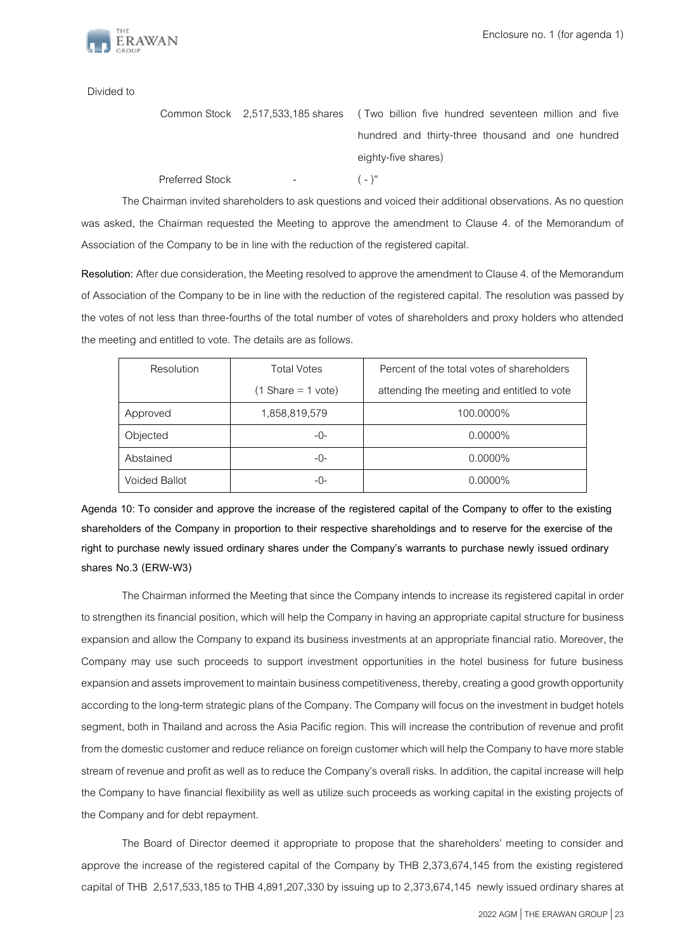

Divided to

|                 |                      | Common Stock 2,517,533,185 shares (Two billion five hundred seventeen million and five |
|-----------------|----------------------|----------------------------------------------------------------------------------------|
|                 |                      | hundred and thirty-three thousand and one hundred                                      |
|                 |                      | eighty-five shares)                                                                    |
| Preferred Stock | <b>Service State</b> | $(-)^{n}$                                                                              |

The Chairman invited shareholders to ask questions and voiced their additional observations. As no question was asked, the Chairman requested the Meeting to approve the amendment to Clause 4. of the Memorandum of Association of the Company to be in line with the reduction of the registered capital.

**Resolution:** After due consideration, the Meeting resolved to approve the amendment to Clause 4. of the Memorandum of Association of the Company to be in line with the reduction of the registered capital. The resolution was passed by the votes of not less than three-fourths of the total number of votes of shareholders and proxy holders who attended the meeting and entitled to vote. The details are as follows.

| Resolution           | <b>Total Votes</b>                  | Percent of the total votes of shareholders |
|----------------------|-------------------------------------|--------------------------------------------|
|                      | $(1 \text{Share} = 1 \text{ vote})$ | attending the meeting and entitled to vote |
| Approved             | 1,858,819,579                       | 100.0000%                                  |
| Objected             | -0-                                 | $0.0000\%$                                 |
| Abstained            | $-()$ -                             | $0.0000\%$                                 |
| <b>Voided Ballot</b> | -0-                                 | $0.0000\%$                                 |

**Agenda 10: To consider and approve the increase of the registered capital of the Company to offer to the existing shareholders of the Company in proportion to their respective shareholdings and to reserve for the exercise of the right to purchase newly issued ordinary shares under the Company's warrants to purchase newly issued ordinary shares No.3 (ERW-W3)**

The Chairman informed the Meeting that since the Company intends to increase its registered capital in order to strengthen its financial position, which will help the Company in having an appropriate capital structure for business expansion and allow the Company to expand its business investments at an appropriate financial ratio. Moreover, the Company may use such proceeds to support investment opportunities in the hotel business for future business expansion and assets improvement to maintain business competitiveness, thereby, creating a good growth opportunity according to the long-term strategic plans of the Company. The Company will focus on the investment in budget hotels segment, both in Thailand and across the Asia Pacific region. This will increase the contribution of revenue and profit from the domestic customer and reduce reliance on foreign customer which willhelp the Company to have more stable stream of revenue and profit as well as to reduce the Company's overall risks. In addition, the capital increase will help the Company to have financial flexibility as well as utilize such proceeds as working capital in the existing projects of the Company and for debt repayment.

The Board of Director deemed it appropriate to propose that the shareholders' meeting to consider and approve the increase of the registered capital of the Company by THB 2,373,674,145 from the existing registered capital of THB 2,517,533,185 to THB 4,891,207,330 by issuing up to 2,373,674,145 newly issued ordinary shares at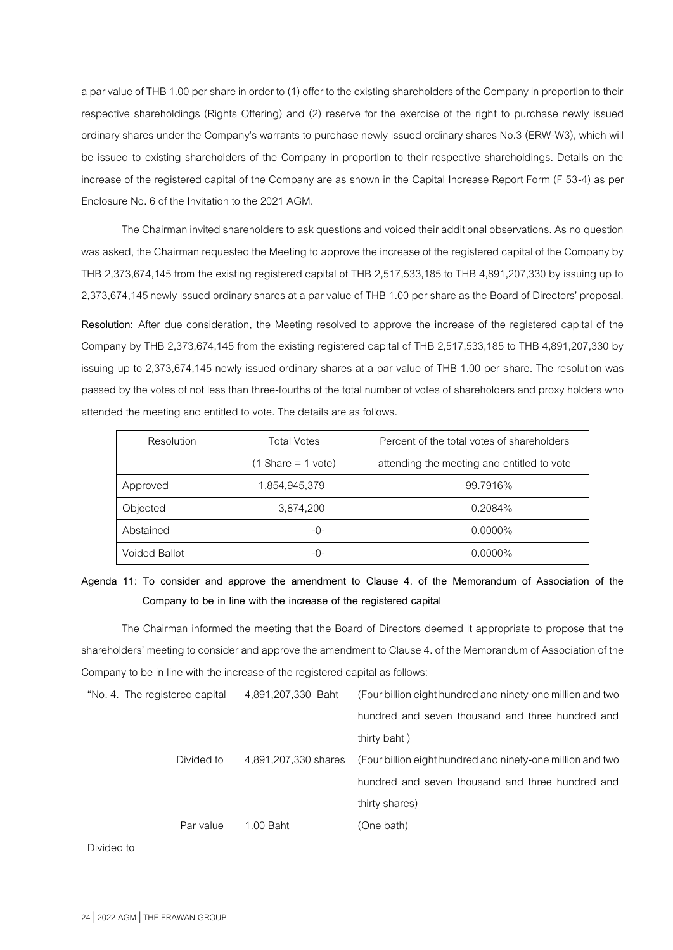a par value of THB 1.00 per share in order to (1) offer to the existing shareholders of the Company in proportion to their respective shareholdings (Rights Offering) and (2) reserve for the exercise of the right to purchase newly issued ordinary shares under the Company's warrants to purchase newly issued ordinary shares No.3 (ERW-W3), which will be issued to existing shareholders of the Company in proportion to their respective shareholdings. Details on the increase of the registered capital of the Company are as shown in the Capital Increase Report Form (F 53-4) as per Enclosure No. 6 of the Invitation to the 2021 AGM.

The Chairman invited shareholders to ask questions and voiced their additional observations. As no question was asked, the Chairman requested the Meeting to approve the increase of the registered capital of the Company by THB 2,373,674,145 from the existing registered capital of THB 2,517,533,185 to THB 4,891,207,330 by issuing up to 2,373,674,145 newly issued ordinary shares at a par value of THB 1.00 per share as the Board of Directors' proposal.

**Resolution:** After due consideration, the Meeting resolved to approve the increase of the registered capital of the Company by THB 2,373,674,145 from the existing registered capital of THB 2,517,533,185 to THB 4,891,207,330 by issuing up to 2,373,674,145 newly issued ordinary shares at a par value of THB 1.00 per share. The resolution was passed by the votes of not less than three-fourths of the total number of votes of shareholders and proxy holders who attended the meeting and entitled to vote. The details are as follows.

| Resolution    | <b>Total Votes</b>                  | Percent of the total votes of shareholders |
|---------------|-------------------------------------|--------------------------------------------|
|               | $(1 \text{Share} = 1 \text{ vote})$ | attending the meeting and entitled to vote |
| Approved      | 1,854,945,379                       | 99.7916%                                   |
| Objected      | 3,874,200                           | 0.2084%                                    |
| Abstained     | $-()$ -                             | $0.0000\%$                                 |
| Voided Ballot | -0-                                 | $0.0000\%$                                 |

**Agenda 11: To consider and approve the amendment to Clause 4. of the Memorandum of Association of the Company to be in line with the increase of the registered capital**

The Chairman informed the meeting that the Board of Directors deemed it appropriate to propose that the shareholders' meeting to consider and approve the amendment to Clause 4. of the Memorandum of Association of the Company to be in line with the increase of the registered capital as follows:

|            | "No. 4. The registered capital | 4,891,207,330 Baht   | (Four billion eight hundred and ninety-one million and two |
|------------|--------------------------------|----------------------|------------------------------------------------------------|
|            |                                |                      | hundred and seven thousand and three hundred and           |
|            |                                |                      | thirty baht)                                               |
|            | Divided to                     | 4.891.207.330 shares | (Four billion eight hundred and ninety-one million and two |
|            |                                |                      | hundred and seven thousand and three hundred and           |
|            |                                |                      | thirty shares)                                             |
|            | Par value                      | 1.00 Baht            | (One bath)                                                 |
| Divided to |                                |                      |                                                            |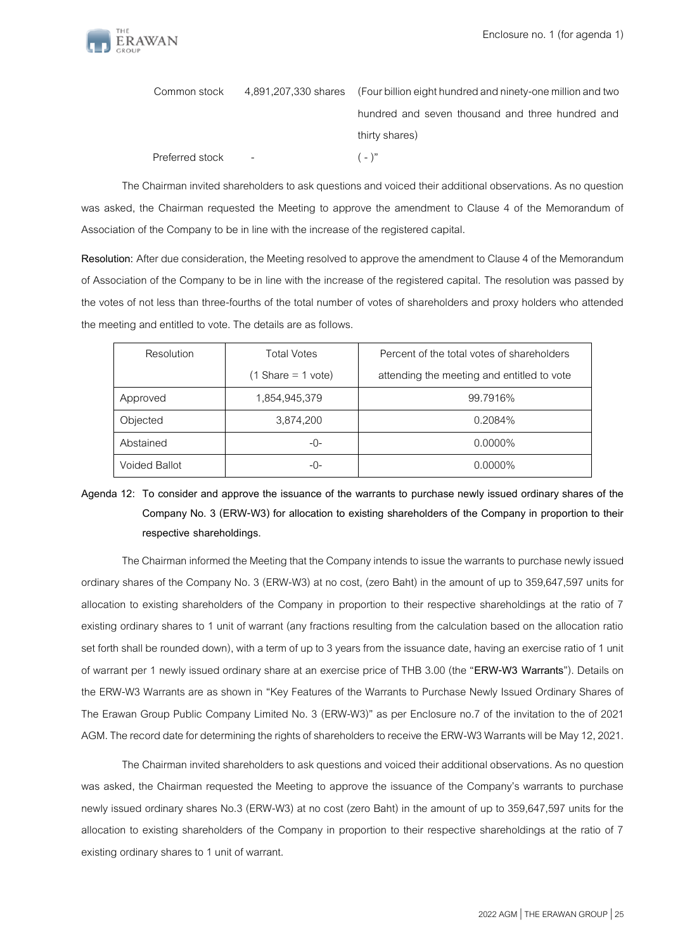

| Common stock    | 4,891,207,330 shares (Four billion eight hundred and ninety-one million and two |  |
|-----------------|---------------------------------------------------------------------------------|--|
|                 | hundred and seven thousand and three hundred and                                |  |
|                 | thirty shares)                                                                  |  |
| Preferred stock | $(-)^{n}$                                                                       |  |

The Chairman invited shareholders to ask questions and voiced their additional observations. As no question was asked, the Chairman requested the Meeting to approve the amendment to Clause 4 of the Memorandum of Association of the Company to be in line with the increase of the registered capital.

**Resolution:** After due consideration, the Meeting resolved to approve the amendment to Clause 4 of the Memorandum of Association of the Company to be in line with the increase of the registered capital. The resolution was passed by the votes of not less than three-fourths of the total number of votes of shareholders and proxy holders who attended the meeting and entitled to vote. The details are as follows.

| Resolution           | <b>Total Votes</b>                  | Percent of the total votes of shareholders |
|----------------------|-------------------------------------|--------------------------------------------|
|                      | $(1 \text{Share} = 1 \text{ vote})$ | attending the meeting and entitled to vote |
| Approved             | 1,854,945,379                       | 99.7916%                                   |
| Objected             | 3,874,200                           | 0.2084%                                    |
| Abstained            | -0-                                 | $0.0000\%$                                 |
| <b>Voided Ballot</b> | -0-                                 | $0.0000\%$                                 |

# **Agenda 12: To consider and approve the issuance of the warrants to purchase newly issued ordinary shares of the Company No. 3 (ERW-W3) for allocation to existing shareholders of the Company in proportion to their respective shareholdings.**

The Chairman informed the Meeting that the Company intends to issue the warrants to purchase newly issued ordinary shares of the Company No. 3 (ERW-W3) at no cost, (zero Baht) in the amount of up to 359,647,597 units for allocation to existing shareholders of the Company in proportion to their respective shareholdings at the ratio of 7 existing ordinary shares to 1 unit of warrant (any fractions resulting from the calculation based on the allocation ratio set forth shall be rounded down), with a term of up to 3 years from the issuance date, having an exercise ratio of 1 unit of warrant per 1 newly issued ordinary share at an exercise price of THB 3.00 (the "**ERW-W3 Warrants**"). Details on the ERW-W3 Warrants are as shown in "Key Features of the Warrants to Purchase Newly Issued Ordinary Shares of The Erawan Group Public Company Limited No. 3 (ERW-W3)" as per Enclosure no.7 of the invitation to the of 2021 AGM.The record date for determining the rights of shareholders to receive the ERW-W3 Warrants will be May 12, 2021.

The Chairman invited shareholders to ask questions and voiced their additional observations. As no question was asked, the Chairman requested the Meeting to approve the issuance of the Company's warrants to purchase newly issued ordinary shares No.3 (ERW-W3) at no cost (zero Baht) in the amount of up to 359,647,597 units for the allocation to existing shareholders of the Company in proportion to their respective shareholdings at the ratio of 7 existing ordinary shares to 1 unit of warrant.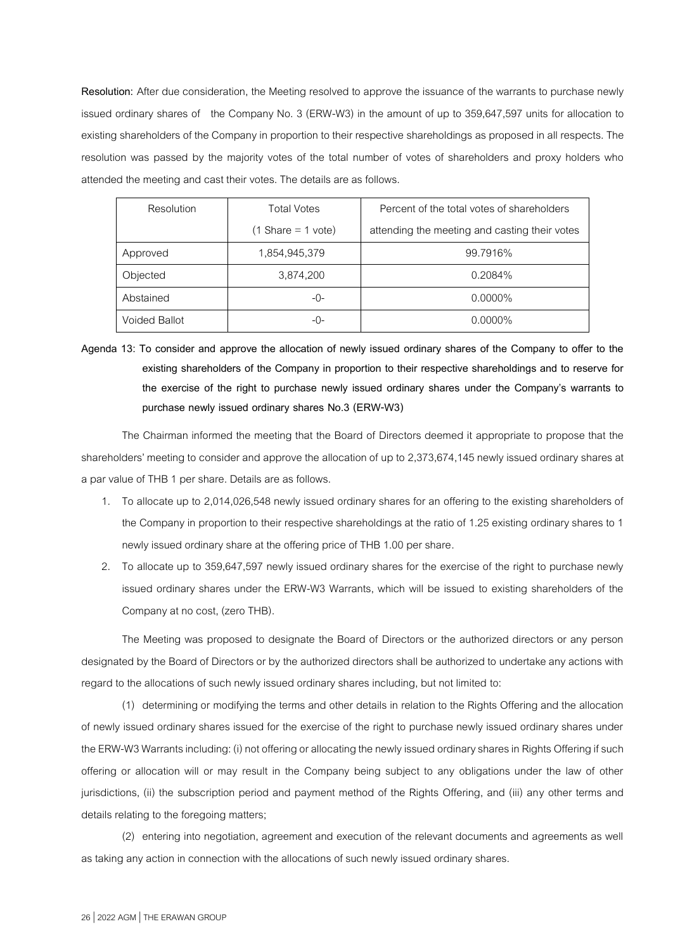**Resolution:** After due consideration, the Meeting resolved to approve the issuance of the warrants to purchase newly issued ordinary shares of the Company No. 3 (ERW-W3) in the amount of up to 359,647,597 units for allocation to existing shareholders of the Company in proportion to their respective shareholdings as proposed in all respects. The resolution was passed by the majority votes of the total number of votes of shareholders and proxy holders who attended the meeting and cast their votes. The details are as follows.

| Resolution           | <b>Total Votes</b>                  | Percent of the total votes of shareholders    |
|----------------------|-------------------------------------|-----------------------------------------------|
|                      | $(1 \text{Share} = 1 \text{ vote})$ | attending the meeting and casting their votes |
| Approved             | 1,854,945,379                       | 99.7916%                                      |
| Objected             | 3,874,200                           | 0.2084%                                       |
| Abstained            | -0-                                 | $0.0000\%$                                    |
| <b>Voided Ballot</b> | -0-                                 | $0.0000\%$                                    |

**Agenda 13: To consider and approve the allocation of newly issued ordinary shares of the Company to offer to the existing shareholders of the Company in proportion to their respective shareholdings and to reserve for the exercise of the right to purchase newly issued ordinary shares under the Company's warrants to purchase newly issued ordinary shares No.3 (ERW-W3)**

The Chairman informed the meeting that the Board of Directors deemed it appropriate to propose that the shareholders' meeting to consider and approve the allocation of up to 2,373,674,145 newly issued ordinary shares at a par value of THB 1 per share. Details are as follows.

- 1. To allocate up to 2,014,026,548 newly issued ordinary shares for an offering to the existing shareholders of the Company in proportion to their respective shareholdings at the ratio of 1.25 existing ordinary shares to 1 newly issued ordinary share at the offering price of THB 1.00 per share.
- 2. To allocate up to 359,647,597 newly issued ordinary shares for the exercise of the right to purchase newly issued ordinary shares under the ERW-W3 Warrants, which will be issued to existing shareholders of the Company at no cost, (zero THB).

The Meeting was proposed to designate the Board of Directors or the authorized directors or any person designated by the Board of Directors or by the authorized directors shall be authorized to undertake any actions with regard to the allocations of such newly issued ordinary shares including, but not limited to:

(1) determining or modifying the terms and other details in relation to the Rights Offering and the allocation of newly issued ordinary shares issued for the exercise of the right to purchase newly issued ordinary shares under the ERW-W3 Warrants including: (i) not offering or allocating the newly issued ordinary shares in Rights Offering if such offering or allocation will or may result in the Company being subject to any obligations under the law of other jurisdictions, (ii) the subscription period and payment method of the Rights Offering, and (iii) any other terms and details relating to the foregoing matters;

(2) entering into negotiation, agreement and execution of the relevant documents and agreements as well as taking any action in connection with the allocations of such newly issued ordinary shares.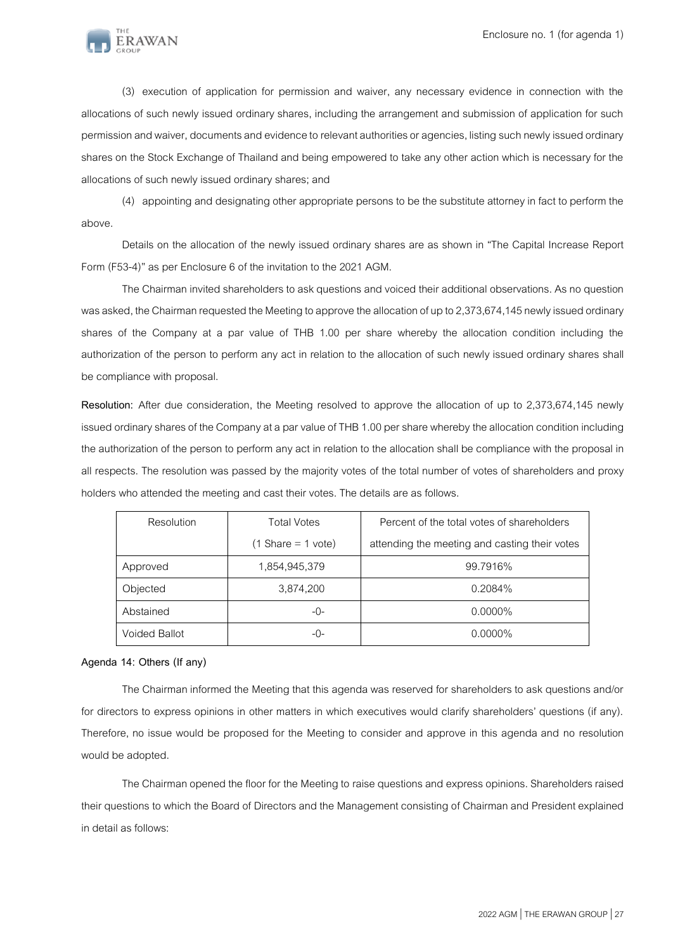

(3) execution of application for permission and waiver, any necessary evidence in connection with the allocations of such newly issued ordinary shares, including the arrangement and submission of application for such permission and waiver, documents and evidence to relevant authorities or agencies, listing such newly issued ordinary shares on the Stock Exchange of Thailand and being empowered to take any other action which is necessary for the allocations of such newly issued ordinary shares; and

(4) appointing and designating other appropriate persons to be the substitute attorney in fact to perform the above.

Details on the allocation of the newly issued ordinary shares are as shown in "The Capital Increase Report Form (F53-4)" as per Enclosure 6 of the invitation to the 2021 AGM.

The Chairman invited shareholders to ask questions and voiced their additional observations. As no question was asked, the Chairman requested the Meeting to approve the allocation of up to 2,373,674,145 newly issued ordinary shares of the Company at a par value of THB 1.00 per share whereby the allocation condition including the authorization of the person to perform any act in relation to the allocation of such newly issued ordinary shares shall be compliance with proposal.

**Resolution:** After due consideration, the Meeting resolved to approve the allocation of up to 2,373,674,145 newly issued ordinary shares of the Company at a par value of THB 1.00 per share whereby the allocation condition including the authorization of the person to perform any act in relation to the allocation shall be compliance with the proposal in all respects. The resolution was passed by the majority votes of the total number of votes of shareholders and proxy holders who attended the meeting and cast their votes. The details are as follows.

| Resolution    | <b>Total Votes</b>                  | Percent of the total votes of shareholders    |
|---------------|-------------------------------------|-----------------------------------------------|
|               | $(1 \text{Share} = 1 \text{ vote})$ | attending the meeting and casting their votes |
| Approved      | 1,854,945,379                       | 99.7916%                                      |
| Objected      | 3,874,200                           | 0.2084%                                       |
| Abstained     | $-()$ -                             | $0.0000\%$                                    |
| Voided Ballot | -0-                                 | $0.0000\%$                                    |

## **Agenda 14: Others (If any)**

The Chairman informed the Meeting that this agenda was reserved for shareholders to ask questions and/or for directors to express opinions in other matters in which executives would clarify shareholders' questions (if any). Therefore, no issue would be proposed for the Meeting to consider and approve in this agenda and no resolution would be adopted.

The Chairman opened the floor for the Meeting to raise questions and express opinions. Shareholders raised their questions to which the Board of Directors and the Management consisting of Chairman and President explained in detail as follows: